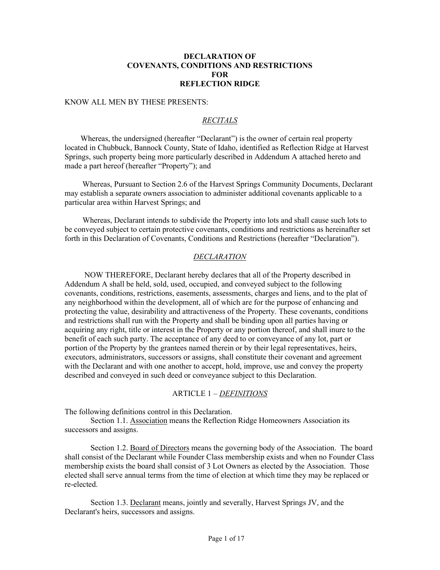## **DECLARATION OF COVENANTS, CONDITIONS AND RESTRICTIONS FOR REFLECTION RIDGE**

#### KNOW ALL MEN BY THESE PRESENTS:

## *RECITALS*

 Whereas, the undersigned (hereafter "Declarant") is the owner of certain real property located in Chubbuck, Bannock County, State of Idaho, identified as Reflection Ridge at Harvest Springs, such property being more particularly described in Addendum A attached hereto and made a part hereof (hereafter "Property"); and

 Whereas, Pursuant to Section 2.6 of the Harvest Springs Community Documents, Declarant may establish a separate owners association to administer additional covenants applicable to a particular area within Harvest Springs; and

 Whereas, Declarant intends to subdivide the Property into lots and shall cause such lots to be conveyed subject to certain protective covenants, conditions and restrictions as hereinafter set forth in this Declaration of Covenants, Conditions and Restrictions (hereafter "Declaration").

## *DECLARATION*

 NOW THEREFORE, Declarant hereby declares that all of the Property described in Addendum A shall be held, sold, used, occupied, and conveyed subject to the following covenants, conditions, restrictions, easements, assessments, charges and liens, and to the plat of any neighborhood within the development, all of which are for the purpose of enhancing and protecting the value, desirability and attractiveness of the Property. These covenants, conditions and restrictions shall run with the Property and shall be binding upon all parties having or acquiring any right, title or interest in the Property or any portion thereof, and shall inure to the benefit of each such party. The acceptance of any deed to or conveyance of any lot, part or portion of the Property by the grantees named therein or by their legal representatives, heirs, executors, administrators, successors or assigns, shall constitute their covenant and agreement with the Declarant and with one another to accept, hold, improve, use and convey the property described and conveyed in such deed or conveyance subject to this Declaration.

#### ARTICLE 1 – *DEFINITIONS*

The following definitions control in this Declaration.

Section 1.1. Association means the Reflection Ridge Homeowners Association its successors and assigns.

Section 1.2. Board of Directors means the governing body of the Association. The board shall consist of the Declarant while Founder Class membership exists and when no Founder Class membership exists the board shall consist of 3 Lot Owners as elected by the Association. Those elected shall serve annual terms from the time of election at which time they may be replaced or re-elected.

Section 1.3. Declarant means, jointly and severally, Harvest Springs JV, and the Declarant's heirs, successors and assigns.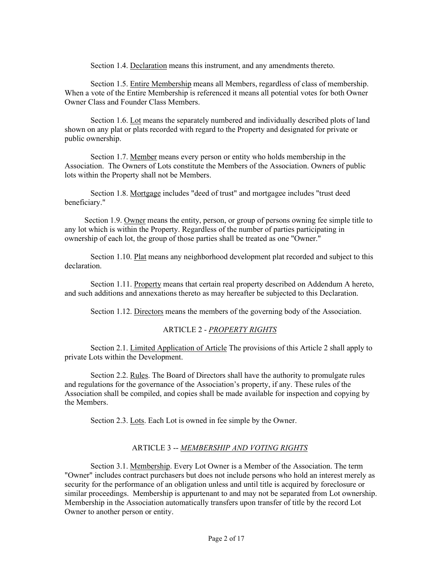Section 1.4. Declaration means this instrument, and any amendments thereto.

Section 1.5. Entire Membership means all Members, regardless of class of membership. When a vote of the Entire Membership is referenced it means all potential votes for both Owner Owner Class and Founder Class Members.

Section 1.6. Lot means the separately numbered and individually described plots of land shown on any plat or plats recorded with regard to the Property and designated for private or public ownership.

Section 1.7. Member means every person or entity who holds membership in the Association. The Owners of Lots constitute the Members of the Association. Owners of public lots within the Property shall not be Members.

Section 1.8. Mortgage includes "deed of trust" and mortgagee includes "trust deed beneficiary."

 Section 1.9. Owner means the entity, person, or group of persons owning fee simple title to any lot which is within the Property. Regardless of the number of parties participating in ownership of each lot, the group of those parties shall be treated as one "Owner."

Section 1.10. Plat means any neighborhood development plat recorded and subject to this declaration.

Section 1.11. Property means that certain real property described on Addendum A hereto, and such additions and annexations thereto as may hereafter be subjected to this Declaration.

Section 1.12. Directors means the members of the governing body of the Association.

#### ARTICLE 2 - *PROPERTY RIGHTS*

 Section 2.1. Limited Application of Article The provisions of this Article 2 shall apply to private Lots within the Development.

 Section 2.2. Rules. The Board of Directors shall have the authority to promulgate rules and regulations for the governance of the Association's property, if any. These rules of the Association shall be compiled, and copies shall be made available for inspection and copying by the Members.

Section 2.3. Lots. Each Lot is owned in fee simple by the Owner.

#### ARTICLE 3 -- *MEMBERSHIP AND VOTING RIGHTS*

Section 3.1. Membership. Every Lot Owner is a Member of the Association. The term "Owner" includes contract purchasers but does not include persons who hold an interest merely as security for the performance of an obligation unless and until title is acquired by foreclosure or similar proceedings. Membership is appurtenant to and may not be separated from Lot ownership. Membership in the Association automatically transfers upon transfer of title by the record Lot Owner to another person or entity.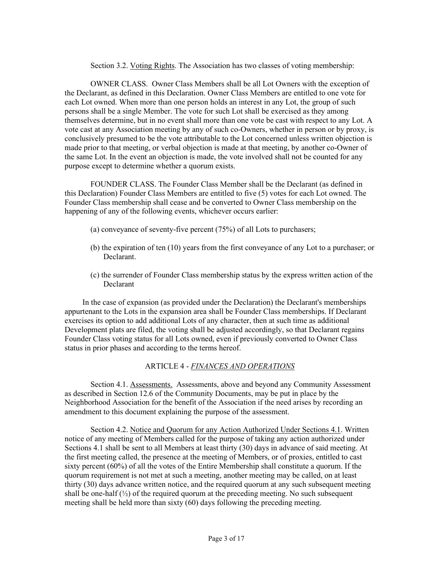#### Section 3.2. Voting Rights. The Association has two classes of voting membership:

OWNER CLASS. Owner Class Members shall be all Lot Owners with the exception of the Declarant, as defined in this Declaration. Owner Class Members are entitled to one vote for each Lot owned. When more than one person holds an interest in any Lot, the group of such persons shall be a single Member. The vote for such Lot shall be exercised as they among themselves determine, but in no event shall more than one vote be cast with respect to any Lot. A vote cast at any Association meeting by any of such co-Owners, whether in person or by proxy, is conclusively presumed to be the vote attributable to the Lot concerned unless written objection is made prior to that meeting, or verbal objection is made at that meeting, by another co-Owner of the same Lot. In the event an objection is made, the vote involved shall not be counted for any purpose except to determine whether a quorum exists.

FOUNDER CLASS. The Founder Class Member shall be the Declarant (as defined in this Declaration) Founder Class Members are entitled to five (5) votes for each Lot owned. The Founder Class membership shall cease and be converted to Owner Class membership on the happening of any of the following events, whichever occurs earlier:

- (a) conveyance of seventy-five percent (75%) of all Lots to purchasers;
- (b) the expiration of ten (10) years from the first conveyance of any Lot to a purchaser; or Declarant.
- (c) the surrender of Founder Class membership status by the express written action of the Declarant

 In the case of expansion (as provided under the Declaration) the Declarant's memberships appurtenant to the Lots in the expansion area shall be Founder Class memberships. If Declarant exercises its option to add additional Lots of any character, then at such time as additional Development plats are filed, the voting shall be adjusted accordingly, so that Declarant regains Founder Class voting status for all Lots owned, even if previously converted to Owner Class status in prior phases and according to the terms hereof.

## ARTICLE 4 - *FINANCES AND OPERATIONS*

Section 4.1. Assessments. Assessments, above and beyond any Community Assessment as described in Section 12.6 of the Community Documents, may be put in place by the Neighborhood Association for the benefit of the Association if the need arises by recording an amendment to this document explaining the purpose of the assessment.

Section 4.2. Notice and Quorum for any Action Authorized Under Sections 4.1. Written notice of any meeting of Members called for the purpose of taking any action authorized under Sections 4.1 shall be sent to all Members at least thirty (30) days in advance of said meeting. At the first meeting called, the presence at the meeting of Members, or of proxies, entitled to cast sixty percent (60%) of all the votes of the Entire Membership shall constitute a quorum. If the quorum requirement is not met at such a meeting, another meeting may be called, on at least thirty (30) days advance written notice, and the required quorum at any such subsequent meeting shall be one-half  $(\frac{1}{2})$  of the required quorum at the preceding meeting. No such subsequent meeting shall be held more than sixty (60) days following the preceding meeting.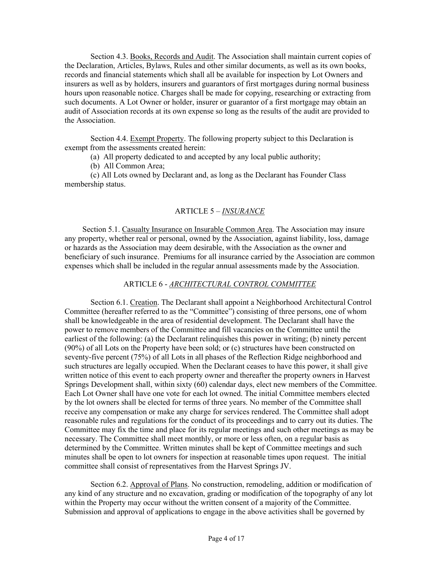Section 4.3. Books, Records and Audit. The Association shall maintain current copies of the Declaration, Articles, Bylaws, Rules and other similar documents, as well as its own books, records and financial statements which shall all be available for inspection by Lot Owners and insurers as well as by holders, insurers and guarantors of first mortgages during normal business hours upon reasonable notice. Charges shall be made for copying, researching or extracting from such documents. A Lot Owner or holder, insurer or guarantor of a first mortgage may obtain an audit of Association records at its own expense so long as the results of the audit are provided to the Association.

Section 4.4. Exempt Property. The following property subject to this Declaration is exempt from the assessments created herein:

(a) All property dedicated to and accepted by any local public authority;

(b) All Common Area;

(c) All Lots owned by Declarant and, as long as the Declarant has Founder Class membership status.

#### ARTICLE 5 – *INSURANCE*

 Section 5.1. Casualty Insurance on Insurable Common Area. The Association may insure any property, whether real or personal, owned by the Association, against liability, loss, damage or hazards as the Association may deem desirable, with the Association as the owner and beneficiary of such insurance. Premiums for all insurance carried by the Association are common expenses which shall be included in the regular annual assessments made by the Association.

### ARTICLE 6 - *ARCHITECTURAL CONTROL COMMITTEE*

Section 6.1. Creation. The Declarant shall appoint a Neighborhood Architectural Control Committee (hereafter referred to as the "Committee") consisting of three persons, one of whom shall be knowledgeable in the area of residential development. The Declarant shall have the power to remove members of the Committee and fill vacancies on the Committee until the earliest of the following: (a) the Declarant relinquishes this power in writing; (b) ninety percent (90%) of all Lots on the Property have been sold; or (c) structures have been constructed on seventy-five percent (75%) of all Lots in all phases of the Reflection Ridge neighborhood and such structures are legally occupied. When the Declarant ceases to have this power, it shall give written notice of this event to each property owner and thereafter the property owners in Harvest Springs Development shall, within sixty (60) calendar days, elect new members of the Committee. Each Lot Owner shall have one vote for each lot owned. The initial Committee members elected by the lot owners shall be elected for terms of three years. No member of the Committee shall receive any compensation or make any charge for services rendered. The Committee shall adopt reasonable rules and regulations for the conduct of its proceedings and to carry out its duties. The Committee may fix the time and place for its regular meetings and such other meetings as may be necessary. The Committee shall meet monthly, or more or less often, on a regular basis as determined by the Committee. Written minutes shall be kept of Committee meetings and such minutes shall be open to lot owners for inspection at reasonable times upon request. The initial committee shall consist of representatives from the Harvest Springs JV.

Section 6.2. Approval of Plans. No construction, remodeling, addition or modification of any kind of any structure and no excavation, grading or modification of the topography of any lot within the Property may occur without the written consent of a majority of the Committee. Submission and approval of applications to engage in the above activities shall be governed by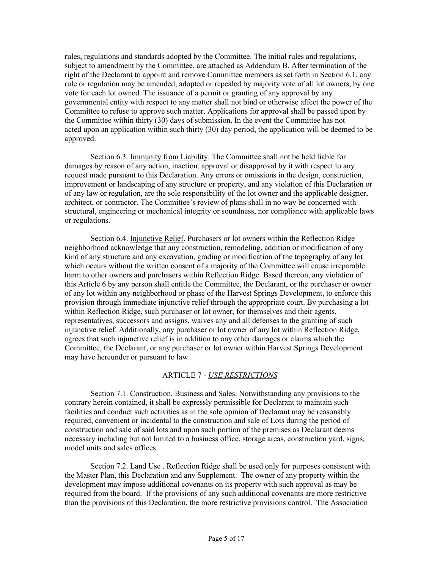rules, regulations and standards adopted by the Committee. The initial rules and regulations, subject to amendment by the Committee, are attached as Addendum B. After termination of the right of the Declarant to appoint and remove Committee members as set forth in Section 6.1, any rule or regulation may be amended, adopted or repealed by majority vote of all lot owners, by one vote for each lot owned. The issuance of a permit or granting of any approval by any governmental entity with respect to any matter shall not bind or otherwise affect the power of the Committee to refuse to approve such matter. Applications for approval shall be passed upon by the Committee within thirty (30) days of submission. In the event the Committee has not acted upon an application within such thirty (30) day period, the application will be deemed to be approved.

Section 6.3. Immunity from Liability. The Committee shall not be held liable for damages by reason of any action, inaction, approval or disapproval by it with respect to any request made pursuant to this Declaration. Any errors or omissions in the design, construction, improvement or landscaping of any structure or property, and any violation of this Declaration or of any law or regulation, are the sole responsibility of the lot owner and the applicable designer, architect, or contractor. The Committee's review of plans shall in no way be concerned with structural, engineering or mechanical integrity or soundness, nor compliance with applicable laws or regulations.

Section 6.4. Injunctive Relief. Purchasers or lot owners within the Reflection Ridge neighborhood acknowledge that any construction, remodeling, addition or modification of any kind of any structure and any excavation, grading or modification of the topography of any lot which occurs without the written consent of a majority of the Committee will cause irreparable harm to other owners and purchasers within Reflection Ridge. Based thereon, any violation of this Article 6 by any person shall entitle the Committee, the Declarant, or the purchaser or owner of any lot within any neighborhood or phase of the Harvest Springs Development, to enforce this provision through immediate injunctive relief through the appropriate court. By purchasing a lot within Reflection Ridge, such purchaser or lot owner, for themselves and their agents, representatives, successors and assigns, waives any and all defenses to the granting of such injunctive relief. Additionally, any purchaser or lot owner of any lot within Reflection Ridge, agrees that such injunctive relief is in addition to any other damages or claims which the Committee, the Declarant, or any purchaser or lot owner within Harvest Springs Development may have hereunder or pursuant to law.

# ARTICLE 7 - *USE RESTRICTIONS*

Section 7.1. Construction, Business and Sales. Notwithstanding any provisions to the contrary herein contained, it shall be expressly permissible for Declarant to maintain such facilities and conduct such activities as in the sole opinion of Declarant may be reasonably required, convenient or incidental to the construction and sale of Lots during the period of construction and sale of said lots and upon such portion of the premises as Declarant deems necessary including but not limited to a business office, storage areas, construction yard, signs, model units and sales offices.

Section 7.2. Land Use . Reflection Ridge shall be used only for purposes consistent with the Master Plan, this Declaration and any Supplement. The owner of any property within the development may impose additional covenants on its property with such approval as may be required from the board. If the provisions of any such additional covenants are more restrictive than the provisions of this Declaration, the more restrictive provisions control. The Association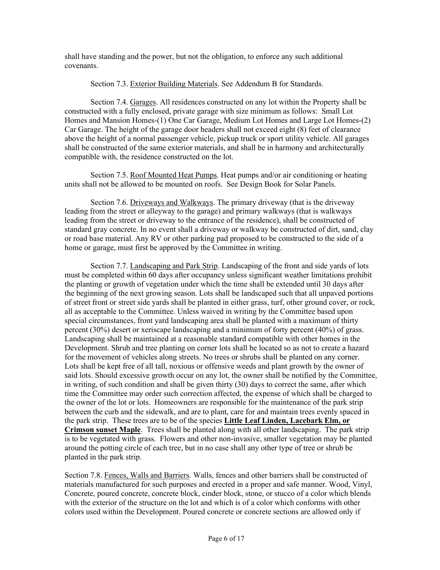shall have standing and the power, but not the obligation, to enforce any such additional covenants.

## Section 7.3. Exterior Building Materials. See Addendum B for Standards.

Section 7.4. Garages. All residences constructed on any lot within the Property shall be constructed with a fully enclosed, private garage with size minimum as follows: Small Lot Homes and Mansion Homes-(1) One Car Garage, Medium Lot Homes and Large Lot Homes-(2) Car Garage. The height of the garage door headers shall not exceed eight (8) feet of clearance above the height of a normal passenger vehicle, pickup truck or sport utility vehicle. All garages shall be constructed of the same exterior materials, and shall be in harmony and architecturally compatible with, the residence constructed on the lot.

Section 7.5. Roof Mounted Heat Pumps. Heat pumps and/or air conditioning or heating units shall not be allowed to be mounted on roofs. See Design Book for Solar Panels.

Section 7.6. Driveways and Walkways. The primary driveway (that is the driveway leading from the street or alleyway to the garage) and primary walkways (that is walkways leading from the street or driveway to the entrance of the residence), shall be constructed of standard gray concrete. In no event shall a driveway or walkway be constructed of dirt, sand, clay or road base material. Any RV or other parking pad proposed to be constructed to the side of a home or garage, must first be approved by the Committee in writing.

Section 7.7. Landscaping and Park Strip. Landscaping of the front and side yards of lots must be completed within 60 days after occupancy unless significant weather limitations prohibit the planting or growth of vegetation under which the time shall be extended until 30 days after the beginning of the next growing season. Lots shall be landscaped such that all unpaved portions of street front or street side yards shall be planted in either grass, turf, other ground cover, or rock, all as acceptable to the Committee. Unless waived in writing by the Committee based upon special circumstances, front yard landscaping area shall be planted with a maximum of thirty percent (30%) desert or xeriscape landscaping and a minimum of forty percent (40%) of grass. Landscaping shall be maintained at a reasonable standard compatible with other homes in the Development. Shrub and tree planting on corner lots shall be located so as not to create a hazard for the movement of vehicles along streets. No trees or shrubs shall be planted on any corner. Lots shall be kept free of all tall, noxious or offensive weeds and plant growth by the owner of said lots. Should excessive growth occur on any lot, the owner shall be notified by the Committee, in writing, of such condition and shall be given thirty (30) days to correct the same, after which time the Committee may order such correction affected, the expense of which shall be charged to the owner of the lot or lots. Homeowners are responsible for the maintenance of the park strip between the curb and the sidewalk, and are to plant, care for and maintain trees evenly spaced in the park strip. These trees are to be of the species **Little Leaf Linden, Lacebark Elm, or Crimson sunset Maple**. Trees shall be planted along with all other landscaping. The park strip is to be vegetated with grass. Flowers and other non-invasive, smaller vegetation may be planted around the potting circle of each tree, but in no case shall any other type of tree or shrub be planted in the park strip.

Section 7.8. Fences, Walls and Barriers. Walls, fences and other barriers shall be constructed of materials manufactured for such purposes and erected in a proper and safe manner. Wood, Vinyl, Concrete, poured concrete, concrete block, cinder block, stone, or stucco of a color which blends with the exterior of the structure on the lot and which is of a color which conforms with other colors used within the Development. Poured concrete or concrete sections are allowed only if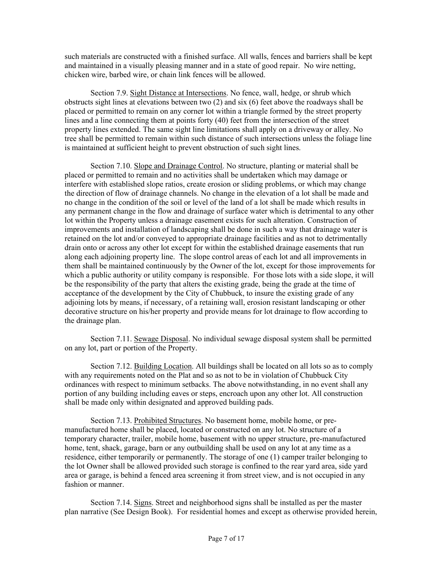such materials are constructed with a finished surface. All walls, fences and barriers shall be kept and maintained in a visually pleasing manner and in a state of good repair. No wire netting, chicken wire, barbed wire, or chain link fences will be allowed.

Section 7.9. Sight Distance at Intersections. No fence, wall, hedge, or shrub which obstructs sight lines at elevations between two (2) and six (6) feet above the roadways shall be placed or permitted to remain on any corner lot within a triangle formed by the street property lines and a line connecting them at points forty (40) feet from the intersection of the street property lines extended. The same sight line limitations shall apply on a driveway or alley. No tree shall be permitted to remain within such distance of such intersections unless the foliage line is maintained at sufficient height to prevent obstruction of such sight lines.

Section 7.10. Slope and Drainage Control. No structure, planting or material shall be placed or permitted to remain and no activities shall be undertaken which may damage or interfere with established slope ratios, create erosion or sliding problems, or which may change the direction of flow of drainage channels. No change in the elevation of a lot shall be made and no change in the condition of the soil or level of the land of a lot shall be made which results in any permanent change in the flow and drainage of surface water which is detrimental to any other lot within the Property unless a drainage easement exists for such alteration. Construction of improvements and installation of landscaping shall be done in such a way that drainage water is retained on the lot and/or conveyed to appropriate drainage facilities and as not to detrimentally drain onto or across any other lot except for within the established drainage easements that run along each adjoining property line. The slope control areas of each lot and all improvements in them shall be maintained continuously by the Owner of the lot, except for those improvements for which a public authority or utility company is responsible. For those lots with a side slope, it will be the responsibility of the party that alters the existing grade, being the grade at the time of acceptance of the development by the City of Chubbuck, to insure the existing grade of any adjoining lots by means, if necessary, of a retaining wall, erosion resistant landscaping or other decorative structure on his/her property and provide means for lot drainage to flow according to the drainage plan.

Section 7.11. Sewage Disposal. No individual sewage disposal system shall be permitted on any lot, part or portion of the Property.

Section 7.12. Building Location. All buildings shall be located on all lots so as to comply with any requirements noted on the Plat and so as not to be in violation of Chubbuck City ordinances with respect to minimum setbacks. The above notwithstanding, in no event shall any portion of any building including eaves or steps, encroach upon any other lot. All construction shall be made only within designated and approved building pads.

Section 7.13. Prohibited Structures. No basement home, mobile home, or premanufactured home shall be placed, located or constructed on any lot. No structure of a temporary character, trailer, mobile home, basement with no upper structure, pre-manufactured home, tent, shack, garage, barn or any outbuilding shall be used on any lot at any time as a residence, either temporarily or permanently. The storage of one (1) camper trailer belonging to the lot Owner shall be allowed provided such storage is confined to the rear yard area, side yard area or garage, is behind a fenced area screening it from street view, and is not occupied in any fashion or manner.

Section 7.14. Signs. Street and neighborhood signs shall be installed as per the master plan narrative (See Design Book). For residential homes and except as otherwise provided herein,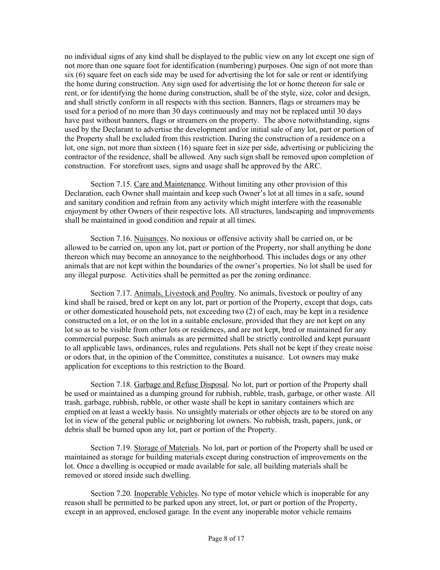no individual signs of any kind shall be displayed to the public view on any lot except one sign of not more than one square foot for identification (numbering) purposes. One sign of not more than six (6) square feet on each side may be used for advertising the lot for sale or rent or identifying the home during construction. Any sign used for advertising the lot or home thereon for sale or rent, or for identifying the home during construction, shall be of the style, size, color and design, and shall strictly conform in all respects with this section. Banners, flags or streamers may be used for a period of no more than 30 days continuously and may not be replaced until 30 days have past without banners, flags or streamers on the property. The above notwithstanding, signs used by the Declarant to advertise the development and/or initial sale of any lot, part or portion of the Property shall be excluded from this restriction. During the construction of a residence on a lot, one sign, not more than sixteen (16) square feet in size per side, advertising or publicizing the contractor of the residence, shall be allowed. Any such sign shall be removed upon completion of construction. For storefront uses, signs and usage shall be approved by the ARC.

Section 7.15. Care and Maintenance. Without limiting any other provision of this Declaration, each Owner shall maintain and keep such Owner's lot at all times in a safe, sound and sanitary condition and refrain from any activity which might interfere with the reasonable enjoyment by other Owners of their respective lots. All structures, landscaping and improvements shall be maintained in good condition and repair at all times.

Section 7.16. Nuisances. No noxious or offensive activity shall be carried on, or be allowed to be carried on, upon any lot, part or portion of the Property, nor shall anything be done thereon which may become an annoyance to the neighborhood. This includes dogs or any other animals that are not kept within the boundaries of the owner's properties. No lot shall be used for any illegal purpose. Activities shall be permitted as per the zoning ordinance.

Section 7.17. Animals, Livestock and Poultry. No animals, livestock or poultry of any kind shall be raised, bred or kept on any lot, part or portion of the Property, except that dogs, cats or other domesticated household pets, not exceeding two (2) of each, may be kept in a residence constructed on a lot, or on the lot in a suitable enclosure, provided that they are not kept on any lot so as to be visible from other lots or residences, and are not kept, bred or maintained for any commercial purpose. Such animals as are permitted shall be strictly controlled and kept pursuant to all applicable laws, ordinances, rules and regulations. Pets shall not be kept if they create noise or odors that, in the opinion of the Committee, constitutes a nuisance. Lot owners may make application for exceptions to this restriction to the Board.

Section 7.18. Garbage and Refuse Disposal. No lot, part or portion of the Property shall be used or maintained as a dumping ground for rubbish, rubble, trash, garbage, or other waste. All trash, garbage, rubbish, rubble, or other waste shall be kept in sanitary containers which are emptied on at least a weekly basis. No unsightly materials or other objects are to be stored on any lot in view of the general public or neighboring lot owners. No rubbish, trash, papers, junk, or debris shall be burned upon any lot, part or portion of the Property.

Section 7.19. Storage of Materials. No lot, part or portion of the Property shall be used or maintained as storage for building materials except during construction of improvements on the lot. Once a dwelling is occupied or made available for sale, all building materials shall be removed or stored inside such dwelling.

Section 7.20. Inoperable Vehicles. No type of motor vehicle which is inoperable for any reason shall be permitted to be parked upon any street, lot, or part or portion of the Property, except in an approved, enclosed garage. In the event any inoperable motor vehicle remains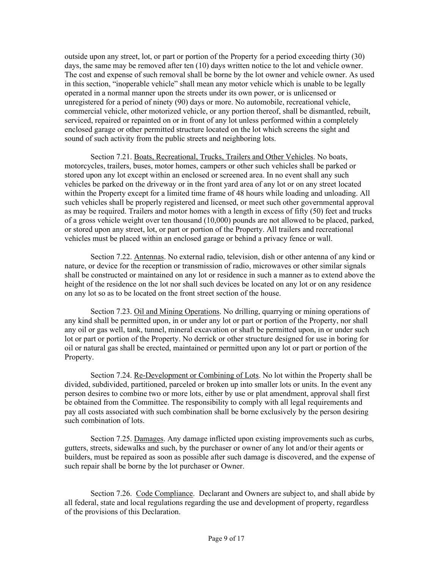outside upon any street, lot, or part or portion of the Property for a period exceeding thirty (30) days, the same may be removed after ten (10) days written notice to the lot and vehicle owner. The cost and expense of such removal shall be borne by the lot owner and vehicle owner. As used in this section, "inoperable vehicle" shall mean any motor vehicle which is unable to be legally operated in a normal manner upon the streets under its own power, or is unlicensed or unregistered for a period of ninety (90) days or more. No automobile, recreational vehicle, commercial vehicle, other motorized vehicle, or any portion thereof, shall be dismantled, rebuilt, serviced, repaired or repainted on or in front of any lot unless performed within a completely enclosed garage or other permitted structure located on the lot which screens the sight and sound of such activity from the public streets and neighboring lots.

Section 7.21. Boats, Recreational, Trucks, Trailers and Other Vehicles. No boats, motorcycles, trailers, buses, motor homes, campers or other such vehicles shall be parked or stored upon any lot except within an enclosed or screened area. In no event shall any such vehicles be parked on the driveway or in the front yard area of any lot or on any street located within the Property except for a limited time frame of 48 hours while loading and unloading. All such vehicles shall be properly registered and licensed, or meet such other governmental approval as may be required. Trailers and motor homes with a length in excess of fifty (50) feet and trucks of a gross vehicle weight over ten thousand (10,000) pounds are not allowed to be placed, parked, or stored upon any street, lot, or part or portion of the Property. All trailers and recreational vehicles must be placed within an enclosed garage or behind a privacy fence or wall.

Section 7.22. Antennas. No external radio, television, dish or other antenna of any kind or nature, or device for the reception or transmission of radio, microwaves or other similar signals shall be constructed or maintained on any lot or residence in such a manner as to extend above the height of the residence on the lot nor shall such devices be located on any lot or on any residence on any lot so as to be located on the front street section of the house.

Section 7.23. Oil and Mining Operations. No drilling, quarrying or mining operations of any kind shall be permitted upon, in or under any lot or part or portion of the Property, nor shall any oil or gas well, tank, tunnel, mineral excavation or shaft be permitted upon, in or under such lot or part or portion of the Property. No derrick or other structure designed for use in boring for oil or natural gas shall be erected, maintained or permitted upon any lot or part or portion of the Property.

Section 7.24. Re-Development or Combining of Lots. No lot within the Property shall be divided, subdivided, partitioned, parceled or broken up into smaller lots or units. In the event any person desires to combine two or more lots, either by use or plat amendment, approval shall first be obtained from the Committee. The responsibility to comply with all legal requirements and pay all costs associated with such combination shall be borne exclusively by the person desiring such combination of lots.

Section 7.25. Damages. Any damage inflicted upon existing improvements such as curbs, gutters, streets, sidewalks and such, by the purchaser or owner of any lot and/or their agents or builders, must be repaired as soon as possible after such damage is discovered, and the expense of such repair shall be borne by the lot purchaser or Owner.

Section 7.26. Code Compliance. Declarant and Owners are subject to, and shall abide by all federal, state and local regulations regarding the use and development of property, regardless of the provisions of this Declaration.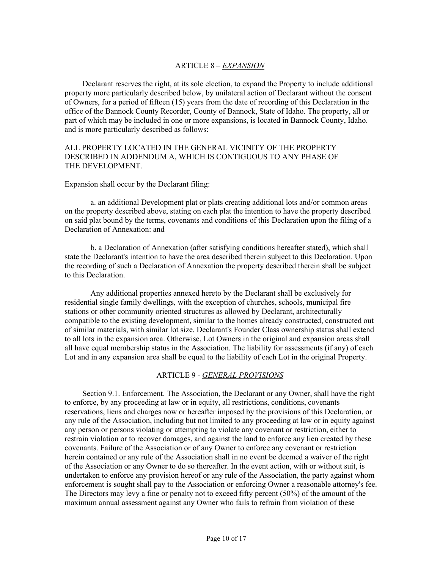## ARTICLE 8 – *EXPANSION*

 Declarant reserves the right, at its sole election, to expand the Property to include additional property more particularly described below, by unilateral action of Declarant without the consent of Owners, for a period of fifteen (15) years from the date of recording of this Declaration in the office of the Bannock County Recorder, County of Bannock, State of Idaho. The property, all or part of which may be included in one or more expansions, is located in Bannock County, Idaho. and is more particularly described as follows:

## ALL PROPERTY LOCATED IN THE GENERAL VICINITY OF THE PROPERTY DESCRIBED IN ADDENDUM A, WHICH IS CONTIGUOUS TO ANY PHASE OF THE DEVELOPMENT.

#### Expansion shall occur by the Declarant filing:

a. an additional Development plat or plats creating additional lots and/or common areas on the property described above, stating on each plat the intention to have the property described on said plat bound by the terms, covenants and conditions of this Declaration upon the filing of a Declaration of Annexation: and

b. a Declaration of Annexation (after satisfying conditions hereafter stated), which shall state the Declarant's intention to have the area described therein subject to this Declaration. Upon the recording of such a Declaration of Annexation the property described therein shall be subject to this Declaration.

Any additional properties annexed hereto by the Declarant shall be exclusively for residential single family dwellings, with the exception of churches, schools, municipal fire stations or other community oriented structures as allowed by Declarant, architecturally compatible to the existing development, similar to the homes already constructed, constructed out of similar materials, with similar lot size. Declarant's Founder Class ownership status shall extend to all lots in the expansion area. Otherwise, Lot Owners in the original and expansion areas shall all have equal membership status in the Association. The liability for assessments (if any) of each Lot and in any expansion area shall be equal to the liability of each Lot in the original Property.

#### ARTICLE 9 - *GENERAL PROVISIONS*

 Section 9.1. Enforcement. The Association, the Declarant or any Owner, shall have the right to enforce, by any proceeding at law or in equity, all restrictions, conditions, covenants reservations, liens and charges now or hereafter imposed by the provisions of this Declaration, or any rule of the Association, including but not limited to any proceeding at law or in equity against any person or persons violating or attempting to violate any covenant or restriction, either to restrain violation or to recover damages, and against the land to enforce any lien created by these covenants. Failure of the Association or of any Owner to enforce any covenant or restriction herein contained or any rule of the Association shall in no event be deemed a waiver of the right of the Association or any Owner to do so thereafter. In the event action, with or without suit, is undertaken to enforce any provision hereof or any rule of the Association, the party against whom enforcement is sought shall pay to the Association or enforcing Owner a reasonable attorney's fee. The Directors may levy a fine or penalty not to exceed fifty percent (50%) of the amount of the maximum annual assessment against any Owner who fails to refrain from violation of these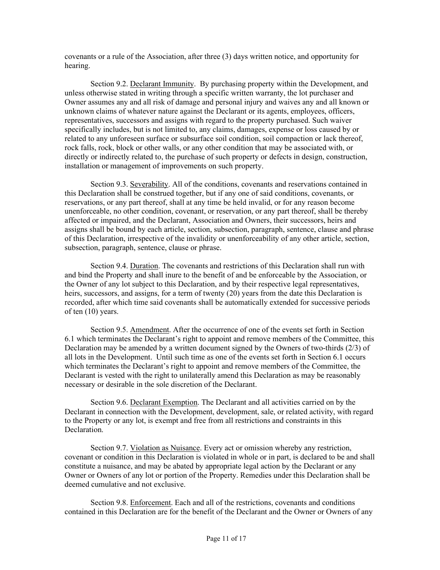covenants or a rule of the Association, after three (3) days written notice, and opportunity for hearing.

Section 9.2. Declarant Immunity. By purchasing property within the Development, and unless otherwise stated in writing through a specific written warranty, the lot purchaser and Owner assumes any and all risk of damage and personal injury and waives any and all known or unknown claims of whatever nature against the Declarant or its agents, employees, officers, representatives, successors and assigns with regard to the property purchased. Such waiver specifically includes, but is not limited to, any claims, damages, expense or loss caused by or related to any unforeseen surface or subsurface soil condition, soil compaction or lack thereof, rock falls, rock, block or other walls, or any other condition that may be associated with, or directly or indirectly related to, the purchase of such property or defects in design, construction, installation or management of improvements on such property.

Section 9.3. Severability. All of the conditions, covenants and reservations contained in this Declaration shall be construed together, but if any one of said conditions, covenants, or reservations, or any part thereof, shall at any time be held invalid, or for any reason become unenforceable, no other condition, covenant, or reservation, or any part thereof, shall be thereby affected or impaired, and the Declarant, Association and Owners, their successors, heirs and assigns shall be bound by each article, section, subsection, paragraph, sentence, clause and phrase of this Declaration, irrespective of the invalidity or unenforceability of any other article, section, subsection, paragraph, sentence, clause or phrase.

Section 9.4. Duration. The covenants and restrictions of this Declaration shall run with and bind the Property and shall inure to the benefit of and be enforceable by the Association, or the Owner of any lot subject to this Declaration, and by their respective legal representatives, heirs, successors, and assigns, for a term of twenty (20) years from the date this Declaration is recorded, after which time said covenants shall be automatically extended for successive periods of ten (10) years.

Section 9.5. Amendment. After the occurrence of one of the events set forth in Section 6.1 which terminates the Declarant's right to appoint and remove members of the Committee, this Declaration may be amended by a written document signed by the Owners of two-thirds (2/3) of all lots in the Development. Until such time as one of the events set forth in Section 6.1 occurs which terminates the Declarant's right to appoint and remove members of the Committee, the Declarant is vested with the right to unilaterally amend this Declaration as may be reasonably necessary or desirable in the sole discretion of the Declarant.

Section 9.6. Declarant Exemption. The Declarant and all activities carried on by the Declarant in connection with the Development, development, sale, or related activity, with regard to the Property or any lot, is exempt and free from all restrictions and constraints in this Declaration.

Section 9.7. Violation as Nuisance. Every act or omission whereby any restriction, covenant or condition in this Declaration is violated in whole or in part, is declared to be and shall constitute a nuisance, and may be abated by appropriate legal action by the Declarant or any Owner or Owners of any lot or portion of the Property. Remedies under this Declaration shall be deemed cumulative and not exclusive.

Section 9.8. Enforcement. Each and all of the restrictions, covenants and conditions contained in this Declaration are for the benefit of the Declarant and the Owner or Owners of any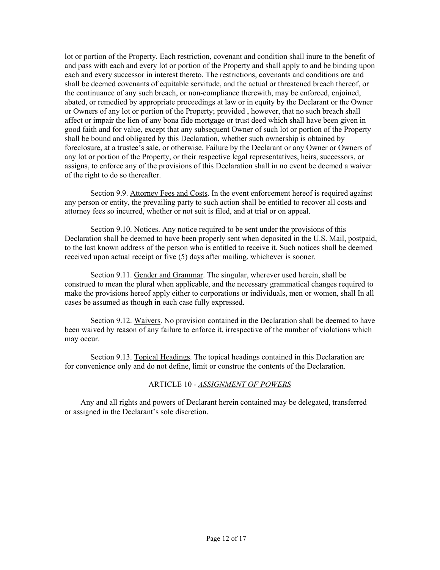lot or portion of the Property. Each restriction, covenant and condition shall inure to the benefit of and pass with each and every lot or portion of the Property and shall apply to and be binding upon each and every successor in interest thereto. The restrictions, covenants and conditions are and shall be deemed covenants of equitable servitude, and the actual or threatened breach thereof, or the continuance of any such breach, or non-compliance therewith, may be enforced, enjoined, abated, or remedied by appropriate proceedings at law or in equity by the Declarant or the Owner or Owners of any lot or portion of the Property; provided , however, that no such breach shall affect or impair the lien of any bona fide mortgage or trust deed which shall have been given in good faith and for value, except that any subsequent Owner of such lot or portion of the Property shall be bound and obligated by this Declaration, whether such ownership is obtained by foreclosure, at a trustee's sale, or otherwise. Failure by the Declarant or any Owner or Owners of any lot or portion of the Property, or their respective legal representatives, heirs, successors, or assigns, to enforce any of the provisions of this Declaration shall in no event be deemed a waiver of the right to do so thereafter.

Section 9.9. Attorney Fees and Costs. In the event enforcement hereof is required against any person or entity, the prevailing party to such action shall be entitled to recover all costs and attorney fees so incurred, whether or not suit is filed, and at trial or on appeal.

Section 9.10. Notices. Any notice required to be sent under the provisions of this Declaration shall be deemed to have been properly sent when deposited in the U.S. Mail, postpaid, to the last known address of the person who is entitled to receive it. Such notices shall be deemed received upon actual receipt or five (5) days after mailing, whichever is sooner.

Section 9.11. Gender and Grammar. The singular, wherever used herein, shall be construed to mean the plural when applicable, and the necessary grammatical changes required to make the provisions hereof apply either to corporations or individuals, men or women, shall In all cases be assumed as though in each case fully expressed.

Section 9.12. Waivers. No provision contained in the Declaration shall be deemed to have been waived by reason of any failure to enforce it, irrespective of the number of violations which may occur.

Section 9.13. Topical Headings. The topical headings contained in this Declaration are for convenience only and do not define, limit or construe the contents of the Declaration.

## ARTICLE 10 - *ASSIGNMENT OF POWERS*

 Any and all rights and powers of Declarant herein contained may be delegated, transferred or assigned in the Declarant's sole discretion.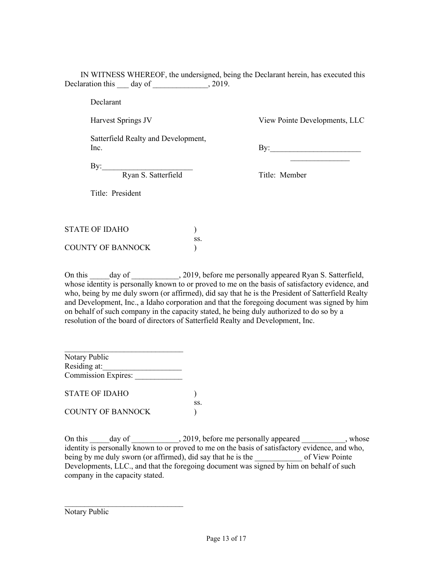IN WITNESS WHEREOF, the undersigned, being the Declarant herein, has executed this Declaration this day of  $\frac{1}{2019}$ .

Declarant

Harvest Springs JV

Title: President

View Pointe Developments, LLC

Satterfield Realty and Development, Inc.

 $\mathbf{By:}$  $\overline{\phantom{a}}$  , and the set of the set of the set of the set of the set of the set of the set of the set of the set of the set of the set of the set of the set of the set of the set of the set of the set of the set of the s

By:

Ryan S. Satterfield

Title: Member

| STATE OF IDAHO    |     |
|-------------------|-----|
|                   | SS. |
| COUNTY OF BANNOCK |     |

On this \_\_\_\_\_day of \_\_\_\_\_\_\_\_\_\_, 2019, before me personally appeared Ryan S. Satterfield, whose identity is personally known to or proved to me on the basis of satisfactory evidence, and who, being by me duly sworn (or affirmed), did say that he is the President of Satterfield Realty and Development, Inc., a Idaho corporation and that the foregoing document was signed by him on behalf of such company in the capacity stated, he being duly authorized to do so by a resolution of the board of directors of Satterfield Realty and Development, Inc.

\_\_\_\_\_\_\_\_\_\_\_\_\_\_\_\_\_\_\_\_\_\_\_\_\_\_\_\_\_\_ Notary Public Residing at: Commission Expires:

STATE OF IDAHO (1) ss. COUNTY OF BANNOCK (a)

\_\_\_\_\_\_\_\_\_\_\_\_\_\_\_\_\_\_\_\_\_\_\_\_\_\_\_\_\_\_

On this day of 3019, before me personally appeared by the set of the set of the set of the set of the set of the set of the set of the set of the set of the set of the set of the set of the set of the set of the set of the identity is personally known to or proved to me on the basis of satisfactory evidence, and who, being by me duly sworn (or affirmed), did say that he is the \_\_\_\_\_\_\_\_\_\_\_\_\_\_ of View Pointe Developments, LLC., and that the foregoing document was signed by him on behalf of such company in the capacity stated.

Notary Public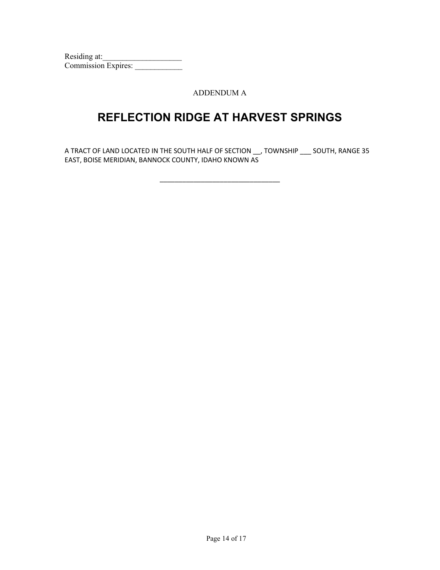Residing at:\_\_\_\_\_\_\_\_\_\_\_\_\_\_\_\_\_\_\_\_ Commission Expires: \_\_\_\_\_\_\_\_\_\_\_\_

ADDENDUM A

# **REFLECTION RIDGE AT HARVEST SPRINGS**

A TRACT OF LAND LOCATED IN THE SOUTH HALF OF SECTION \_\_, TOWNSHIP \_\_\_ SOUTH, RANGE 35 EAST, BOISE MERIDIAN, BANNOCK COUNTY, IDAHO KNOWN AS

\_\_\_\_\_\_\_\_\_\_\_\_\_\_\_\_\_\_\_\_\_\_\_\_\_\_\_\_\_\_\_\_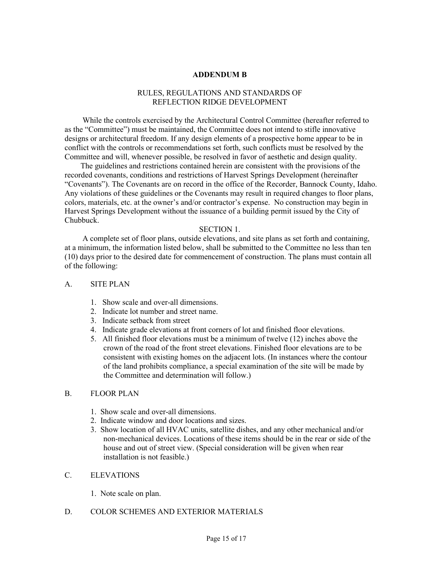#### **ADDENDUM B**

#### RULES, REGULATIONS AND STANDARDS OF REFLECTION RIDGE DEVELOPMENT

 While the controls exercised by the Architectural Control Committee (hereafter referred to as the "Committee") must be maintained, the Committee does not intend to stifle innovative designs or architectural freedom. If any design elements of a prospective home appear to be in conflict with the controls or recommendations set forth, such conflicts must be resolved by the Committee and will, whenever possible, be resolved in favor of aesthetic and design quality.

 The guidelines and restrictions contained herein are consistent with the provisions of the recorded covenants, conditions and restrictions of Harvest Springs Development (hereinafter "Covenants"). The Covenants are on record in the office of the Recorder, Bannock County, Idaho. Any violations of these guidelines or the Covenants may result in required changes to floor plans, colors, materials, etc. at the owner's and/or contractor's expense. No construction may begin in Harvest Springs Development without the issuance of a building permit issued by the City of Chubbuck.

#### SECTION 1.

 A complete set of floor plans, outside elevations, and site plans as set forth and containing, at a minimum, the information listed below, shall be submitted to the Committee no less than ten (10) days prior to the desired date for commencement of construction. The plans must contain all of the following:

#### A. SITE PLAN

- 1. Show scale and over-all dimensions.
- 2. Indicate lot number and street name.
- 3. Indicate setback from street
- 4. Indicate grade elevations at front corners of lot and finished floor elevations.
- 5. All finished floor elevations must be a minimum of twelve (12) inches above the crown of the road of the front street elevations. Finished floor elevations are to be consistent with existing homes on the adjacent lots. (In instances where the contour of the land prohibits compliance, a special examination of the site will be made by the Committee and determination will follow.)

#### B. FLOOR PLAN

- 1. Show scale and over-all dimensions.
- 2. Indicate window and door locations and sizes.
- 3. Show location of all HVAC units, satellite dishes, and any other mechanical and/or non-mechanical devices. Locations of these items should be in the rear or side of the house and out of street view. (Special consideration will be given when rear installation is not feasible.)

# C. ELEVATIONS

1. Note scale on plan.

## D. COLOR SCHEMES AND EXTERIOR MATERIALS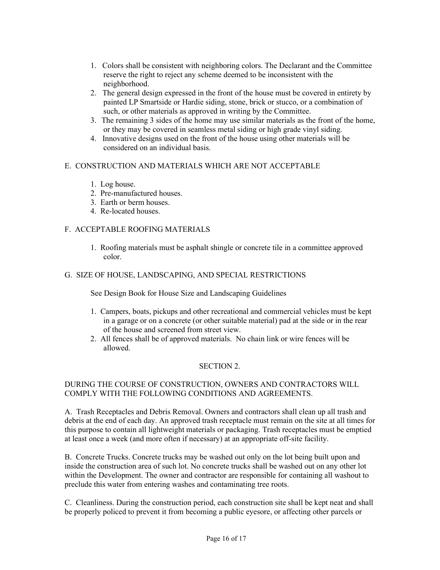- 1. Colors shall be consistent with neighboring colors. The Declarant and the Committee reserve the right to reject any scheme deemed to be inconsistent with the neighborhood.
- 2. The general design expressed in the front of the house must be covered in entirety by painted LP Smartside or Hardie siding, stone, brick or stucco, or a combination of such, or other materials as approved in writing by the Committee.
- 3. The remaining 3 sides of the home may use similar materials as the front of the home, or they may be covered in seamless metal siding or high grade vinyl siding.
- 4. Innovative designs used on the front of the house using other materials will be considered on an individual basis.

# E. CONSTRUCTION AND MATERIALS WHICH ARE NOT ACCEPTABLE

- 1. Log house.
- 2. Pre-manufactured houses.
- 3. Earth or berm houses.
- 4. Re-located houses.

# F. ACCEPTABLE ROOFING MATERIALS

1. Roofing materials must be asphalt shingle or concrete tile in a committee approved color.

# G. SIZE OF HOUSE, LANDSCAPING, AND SPECIAL RESTRICTIONS

See Design Book for House Size and Landscaping Guidelines

- 1. Campers, boats, pickups and other recreational and commercial vehicles must be kept in a garage or on a concrete (or other suitable material) pad at the side or in the rear of the house and screened from street view.
- 2. All fences shall be of approved materials. No chain link or wire fences will be allowed.

## SECTION 2.

# DURING THE COURSE OF CONSTRUCTION, OWNERS AND CONTRACTORS WILL COMPLY WITH THE FOLLOWING CONDITIONS AND AGREEMENTS.

A. Trash Receptacles and Debris Removal. Owners and contractors shall clean up all trash and debris at the end of each day. An approved trash receptacle must remain on the site at all times for this purpose to contain all lightweight materials or packaging. Trash receptacles must be emptied at least once a week (and more often if necessary) at an appropriate off-site facility.

B. Concrete Trucks. Concrete trucks may be washed out only on the lot being built upon and inside the construction area of such lot. No concrete trucks shall be washed out on any other lot within the Development. The owner and contractor are responsible for containing all washout to preclude this water from entering washes and contaminating tree roots.

C. Cleanliness. During the construction period, each construction site shall be kept neat and shall be properly policed to prevent it from becoming a public eyesore, or affecting other parcels or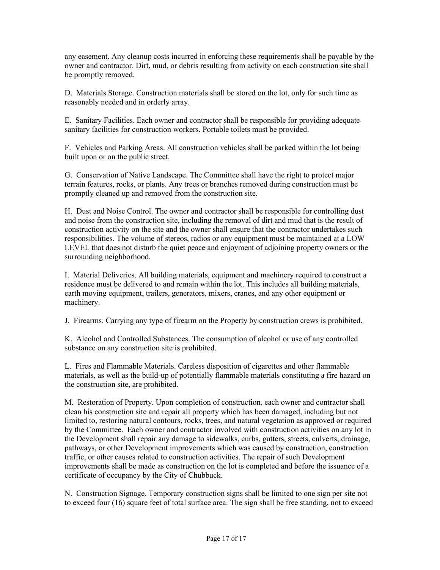any easement. Any cleanup costs incurred in enforcing these requirements shall be payable by the owner and contractor. Dirt, mud, or debris resulting from activity on each construction site shall be promptly removed.

D. Materials Storage. Construction materials shall be stored on the lot, only for such time as reasonably needed and in orderly array.

E. Sanitary Facilities. Each owner and contractor shall be responsible for providing adequate sanitary facilities for construction workers. Portable toilets must be provided.

F. Vehicles and Parking Areas. All construction vehicles shall be parked within the lot being built upon or on the public street.

G. Conservation of Native Landscape. The Committee shall have the right to protect major terrain features, rocks, or plants. Any trees or branches removed during construction must be promptly cleaned up and removed from the construction site.

H. Dust and Noise Control. The owner and contractor shall be responsible for controlling dust and noise from the construction site, including the removal of dirt and mud that is the result of construction activity on the site and the owner shall ensure that the contractor undertakes such responsibilities. The volume of stereos, radios or any equipment must be maintained at a LOW LEVEL that does not disturb the quiet peace and enjoyment of adjoining property owners or the surrounding neighborhood.

I. Material Deliveries. All building materials, equipment and machinery required to construct a residence must be delivered to and remain within the lot. This includes all building materials, earth moving equipment, trailers, generators, mixers, cranes, and any other equipment or machinery.

J. Firearms. Carrying any type of firearm on the Property by construction crews is prohibited.

K. Alcohol and Controlled Substances. The consumption of alcohol or use of any controlled substance on any construction site is prohibited.

L. Fires and Flammable Materials. Careless disposition of cigarettes and other flammable materials, as well as the build-up of potentially flammable materials constituting a fire hazard on the construction site, are prohibited.

M. Restoration of Property. Upon completion of construction, each owner and contractor shall clean his construction site and repair all property which has been damaged, including but not limited to, restoring natural contours, rocks, trees, and natural vegetation as approved or required by the Committee. Each owner and contractor involved with construction activities on any lot in the Development shall repair any damage to sidewalks, curbs, gutters, streets, culverts, drainage, pathways, or other Development improvements which was caused by construction, construction traffic, or other causes related to construction activities. The repair of such Development improvements shall be made as construction on the lot is completed and before the issuance of a certificate of occupancy by the City of Chubbuck.

N. Construction Signage. Temporary construction signs shall be limited to one sign per site not to exceed four (16) square feet of total surface area. The sign shall be free standing, not to exceed